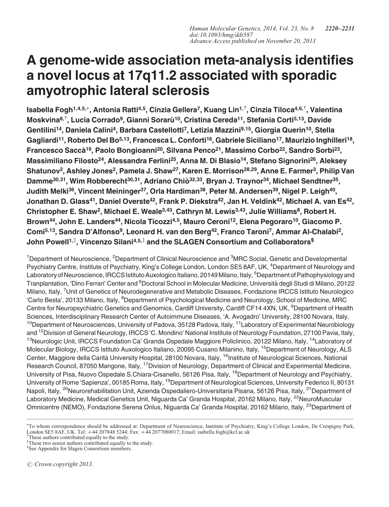# A genome-wide association meta-analysis identifies a novel locus at 17q11.2 associated with sporadic amyotrophic lateral sclerosis

Isabella Fogh<sup>1,4,5,</sup>∗, Antonia Ratti<sup>4,5</sup>, Cinzia Gellera<sup>7</sup>, Kuang Lin<sup>1,†</sup>, Cinzia Tiloca<sup>4,6,†</sup>, Valentina Moskvina<sup>8,†</sup>, Lucia Corrado<sup>9</sup>, Gianni Sorarù<sup>10</sup>, Cristina Cereda<sup>11</sup>, Stefania Corti<sup>5,13</sup>, Davide Gentilini<sup>14</sup>, Daniela Calini<sup>4</sup>, Barbara Castellotti<sup>7</sup>, Letizia Mazzini<sup>9,15</sup>, Giorgia Querin<sup>10</sup>, Stella Gagliardi<sup>11</sup>, Roberto Del Bo<sup>5,13</sup>, Francesca L. Conforti<sup>16</sup>, Gabriele Siciliano<sup>17</sup>, Maurizio Inghilleri<sup>18</sup>, Francesco Saccà<sup>19</sup>, Paolo Bongioanni<sup>20</sup>, Silvana Penco<sup>21</sup>, Massimo Corbo<sup>22</sup>, Sandro Sorbi<sup>23</sup>, Massimiliano Filosto<sup>24</sup>, Alessandra Ferlini<sup>25</sup>, Anna M. Di Blasio<sup>14</sup>, Stefano Signorini<sup>26</sup>, Aleksey Shatunov<sup>2</sup>, Ashley Jones<sup>2</sup>, Pamela J. Shaw<sup>27</sup>, Karen E. Morrison<sup>28,29</sup>, Anne E. Farmer<sup>3</sup>, Philip Van Damme<sup>30,31</sup>, Wim Robberecht<sup>30,31</sup>, Adriano Chiò <sup>32,33</sup>, Bryan J. Traynor<sup>34</sup>, Michael Sendtner<sup>35</sup>, Judith Melki<sup>36</sup>, Vincent Meininger<sup>37</sup>, Orla Hardiman<sup>38</sup>, Peter M. Andersen<sup>39</sup>, Nigel P. Leigh<sup>40</sup>, Jonathan D. Glass<sup>41</sup>, Daniel Overste<sup>42</sup>, Frank P. Diekstra<sup>42</sup>, Jan H. Veldink<sup>42</sup>, Michael A. van Es<sup>42</sup>, Christopher E. Shaw<sup>2</sup>, Michael E. Weale<sup>3,43</sup>, Cathryn M. Lewis<sup>3,43</sup>, Julie Williams<sup>8</sup>, Robert H. Brown<sup>44</sup>, John E. Landers<sup>44</sup>, Nicola Ticozzi<sup>4,5</sup>, Mauro Ceroni<sup>12</sup>, Elena Pegoraro<sup>10</sup>, Giacomo P. Comi<sup>5,13</sup>, Sandra D'Alfonso<sup>9</sup>, Leonard H. van den Berg<sup>42</sup>, Franco Taroni<sup>7</sup>, Ammar Al-Chalabi<sup>2</sup>, John Powell $^{1,\ddag},$  Vincenzo Silani $^{4,5,\ddag}$  and the SLAGEN Consortium and Collaborators $^\mathbb{S}$ 

<sup>1</sup>Department of Neuroscience, <sup>2</sup>Department of Clinical Neuroscience and <sup>3</sup>MRC Social, Genetic and Developmental Psychiatry Centre, Institute of Psychiatry, King's College London, London SE5 8AF, UK, <sup>4</sup>Department of Neurology and Laboratory of Neuroscience, IRCCS Istituto Auxologico Italiano, 20149 Milano, Italy, <sup>5</sup>Department of Pathophysiology and Tranplantation, 'Dino Ferrari' Center and <sup>6</sup>Doctoral School in Molecular Medicine, Università degli Studi di Milano, 20122 Milano, Italy, <sup>7</sup>Unit of Genetics of Neurodegenerative and Metabolic Diseases, Fondazione IRCCS Istituto Neurologico 'Carlo Besta', 20133 Milano, Italy, <sup>8</sup>Department of Psychological Medicine and Neurology, School of Medicine, MRC Centre for Neuropsychiatric Genetics and Genomics, Cardiff University, Cardiff CF14 4XN, UK, <sup>9</sup>Department of Health Sciences, Interdisciplinary Research Center of Autoimmune Diseases, 'A. Avogadro' University, 28100 Novara, Italy, <sup>10</sup>Department of Neurosciences, University of Padova, 35128 Padova, Italy, <sup>11</sup>Laboratory of Experimental Neurobiology and <sup>12</sup>Division of General Neurology, IRCCS 'C. Mondino' National Institute of Neurology Foundation, 27100 Pavia, Italy, <sup>13</sup>Neurologic Unit, IRCCS Foundation Ca' Granda Ospedale Maggiore Policlinico, 20122 Milano, Italy, <sup>14</sup>Laboratory of Molecular Biology, IRCCS Istituto Auxologico Italiano, 20095 Cusano Milanino, Italy, <sup>15</sup>Department of Neurology, ALS Center, Maggiore della Carità University Hospital, 28100 Novara, Italy, <sup>16</sup>Institute of Neurological Sciences, National Research Council, 87050 Mangone, Italy, <sup>17</sup>Division of Neurology, Department of Clinical and Experimental Medicine, University of Pisa, Nuovo Ospedale S.Chiara-Cisanello, 56126 Pisa, Italy, <sup>18</sup>Department of Neurology and Psychiatry, University of Rome 'Sapienza', 00185 Roma, Italy, <sup>19</sup>Department of Neurological Sciences, University Federico II, 80131 Napoli, Italy, <sup>20</sup>Neurorehabilitation Unit, Azienda Ospedaliero-Universitaria Pisana, 56126 Pisa, Italy, <sup>21</sup>Department of Laboratory Medicine, Medical Genetics Unit, Niguarda Ca' Granda Hospital, 20162 Milano, Italy, <sup>22</sup>NeuroMuscular Omnicentre (NEMO), Fondazione Serena Onlus, Niguarda Ca' Granda Hospital, 20162 Milano, Italy, <sup>23</sup>Department of

<sup>†</sup>These authors contributed equally to the study.

 $\odot$  Crown copyright 2013.

<sup>∗</sup> To whom correspondence should be addressed at: Department of Neuroscience, Institute of Psychiatry, King's College London, De Crespigny Park, London SE5 8AF, UK. Tel: <sup>+</sup>44 207848 5244; Fax: <sup>+</sup>44 2077080017; Email: isabella.fogh@kcl.ac.uk †

<sup>&</sup>lt;sup>‡</sup>These two senior authors contributed equally to the study. § See Appendix for Slagen Consortium members.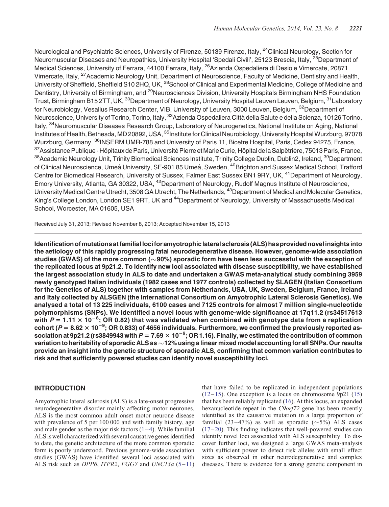Neurological and Psychiatric Sciences, University of Firenze, 50139 Firenze, Italy, <sup>24</sup>Clinical Neurology, Section for Neuromuscular Diseases and Neuropathies, University Hospital 'Spedali Civili', 25123 Brescia, Italy, <sup>25</sup>Department of Medical Sciences, University of Ferrara, 44100 Ferrara, Italy, 26Azienda Ospedaliera di Desio e Vimercate, 20871 Vimercate, Italy, 27Academic Neurology Unit, Department of Neuroscience, Faculty of Medicine, Dentistry and Health, University of Sheffield, Sheffield S10 2HQ, UK, <sup>28</sup>School of Clinical and Experimental Medicine, College of Medicine and Dentistry, University of Birmingham, and <sup>29</sup>Neurosciences Division, University Hospitals Birmingham NHS Foundation Trust, Birmingham B15 2TT, UK, <sup>30</sup>Department of Neurology, University Hospital Leuven Leuven, Belgium, <sup>31</sup>Laboratory for Neurobiology, Vesalius Research Center, VIB, University of Leuven, 3000 Leuven, Belgium, <sup>32</sup>Department of Neuroscience, University of Torino, Torino, Italy, <sup>33</sup>Azienda Ospedaliera Città della Salute e della Scienza, 10126 Torino, Italy, <sup>34</sup>Neuromuscular Diseases Research Group, Laboratory of Neurogenetics, National Institute on Aging, National Institutes of Health, Bethesda, MD 20892, USA, <sup>35</sup>Institute for Clinical Neurobiology, University Hospital Wurzburg, 97078 Wurzburg, Germany, <sup>36</sup>INSERM UMR-788 and University of Paris 11, Bicetre Hospital, Paris, Cedex 94275, France, 37 Assistance Publique - Hôpitaux de Paris, Université Pierre et Marie Curie, Hôpital de la Salpêtrière, 75013 Paris, France, 38 Academic Neurology Unit, Trinity Biomedical Sciences Institute, Trinity College Dublin, Dublin2, Ireland, <sup>39</sup>Department of Clinical Neuroscience, Umeå University, SE-901 85 Umeå, Sweden, <sup>40</sup>Brighton and Sussex Medical School, Trafford Centre for Biomedical Research, University of Sussex, Falmer East Sussex BN1 9RY, UK, <sup>41</sup>Department of Neurology, Emory University, Atlanta, GA 30322, USA, <sup>42</sup>Department of Neurology, Rudolf Magnus Institute of Neuroscience, University Medical Centre Utrecht, 3508 GA Utrecht, The Netherlands, <sup>43</sup>Department of Medical and Molecular Genetics, King's College London, London SE1 9RT, UK and <sup>44</sup>Department of Neurology, University of Massachusetts Medical School, Worcester, MA 01605, USA

Received July 31, 2013; Revised November 8, 2013; Accepted November 15, 2013

Identification of mutations at familial loci for amyotrophic lateral sclerosis (ALS) has provided novel insights into the aetiology of this rapidly progressing fatal neurodegenerative disease. However, genome-wide association studies (GWAS) of the more common (~90%) sporadic form have been less successful with the exception of the replicated locus at 9p21.2. To identify new loci associated with disease susceptibility, we have established the largest association study in ALS to date and undertaken a GWAS meta-analytical study combining 3959 newly genotyped Italian individuals (1982 cases and 1977 controls) collected by SLAGEN (Italian Consortium for the Genetics of ALS) together with samples from Netherlands, USA, UK, Sweden, Belgium, France, Ireland and Italy collected by ALSGEN (the International Consortium on Amyotrophic Lateral Sclerosis Genetics). We analysed a total of 13 225 individuals, 6100 cases and 7125 controls for almost 7 million single-nucleotide polymorphisms (SNPs). We identified a novel locus with genome-wide significance at 17q11.2 (rs34517613 with  $P = 1.11 \times 10^{-8}$ ; OR 0.82) that was validated when combined with genotype data from a replication cohort (P = 8.62  $\times$  10<sup>-9</sup>; OR 0.833) of 4656 individuals. Furthermore, we confirmed the previously reported association at 9p21.2 (rs3849943 with  $P$  = 7.69  $\times$  10<sup>-9</sup>; OR 1.16). Finally, we estimated the contribution of common variation to heritability of sporadic ALS as  $\sim$  12% using a linear mixed model accounting for all SNPs. Our results provide an insight into the genetic structure of sporadic ALS, confirming that common variation contributes to risk and that sufficiently powered studies can identify novel susceptibility loci.

# INTRODUCTION

Amyotrophic lateral sclerosis (ALS) is a late-onset progressive neurodegenerative disorder mainly affecting motor neurones. ALS is the most common adult onset motor neurone disease with prevalence of 5 per 100 000 and with family history, age and male gender as the major risk factors  $(1-4)$  $(1-4)$  $(1-4)$  $(1-4)$ . While familial ALS is well characterized with several causative genes identified to date, the genetic architecture of the more common sporadic form is poorly understood. Previous genome-wide association studies (GWAS) have identified several loci associated with ALS risk such as DPP6, ITPR2, FGGY and UNC13a  $(5-11)$  $(5-11)$  $(5-11)$  $(5-11)$ 

that have failed to be replicated in independent populations [\(12](#page-8-0)–[15](#page-9-0)). One exception is a locus on chromosome  $9p21$  ([15\)](#page-9-0) that has been reliably replicated ([16\)](#page-9-0). At this locus, an expanded hexanucleotide repeat in the *C9orf72* gene has been recently identified as the causative mutation in a large proportion of familial (23–47%) as well as sporadic ( $\sim$ 5%) ALS cases [\(17](#page-9-0)–[20](#page-9-0)). This finding indicates that well-powered studies can identify novel loci associated with ALS susceptibility. To discover further loci, we designed a large GWAS meta-analysis with sufficient power to detect risk alleles with small effect sizes as observed in other neurodegenerative and complex diseases. There is evidence for a strong genetic component in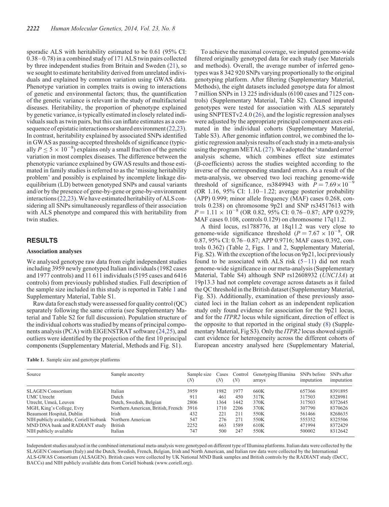<span id="page-2-0"></span>sporadic ALS with heritability estimated to be 0.61 (95% CI: 0.38–0.78) in a combined study of 171 ALS twin pairs collected by three independent studies from Britain and Sweden ([21\)](#page-9-0), so we sought to estimate heritability derived from unrelated individuals and explained by common variation using GWAS data. Phenotype variation in complex traits is owing to interactions of genetic and environmental factors; thus, the quantification of the genetic variance is relevant in the study of multifactorial diseases. Heritability, the proportion of phenotype explained by genetic variance, is typically estimated in closely related individuals such as twin pairs, but this can inflate estimates as a consequence of epistatic interactions or shared environment ([22,23](#page-9-0)). In contrast, heritability explained by associated SNPs identified in GWAS as passing-accepted thresholds of significance (typically  $P \le 5 \times 10^{-8}$ ) explains only a small fraction of the genetic variation in most complex diseases. The difference between the phenotypic variance explained by GWAS results and those estimated in family studies is referred to as the 'missing heritability problem' and possibly is explained by incomplete linkage disequilibrium (LD) between genotyped SNPs and causal variants and/or by the presence of gene-by-gene or gene-by-environment interactions ([22,23](#page-9-0)). We have estimated heritability of ALS considering all SNPs simultaneously regardless of their association with ALS phenotype and compared this with heritability from twin studies.

# RESULTS

## Association analyses

We analysed genotype raw data from eight independent studies including 3959 newly genotyped Italian individuals (1982 cases and 1977 controls) and 11 611 individuals (5195 cases and 6416 controls) from previously published studies. Full description of the sample size included in this study is reported in Table 1 and [Supplementary Material, Table S1.](http://hmg.oxfordjournals.org/lookup/suppl/doi:10.1093/hmg/ddt587/-/DC1)

Raw data for each study were assessed for quality control (QC) separately following the same criteria (see [Supplementary Ma](http://hmg.oxfordjournals.org/lookup/suppl/doi:10.1093/hmg/ddt587/-/DC1)[terial](http://hmg.oxfordjournals.org/lookup/suppl/doi:10.1093/hmg/ddt587/-/DC1) and [Table S2](http://hmg.oxfordjournals.org/lookup/suppl/doi:10.1093/hmg/ddt587/-/DC1) for full discussion). Population structure of the individual cohorts was studied by means of principal components analysis (PCA) with EIGENSTRAT software [\(24](#page-9-0),[25\)](#page-9-0), and outliers were identified by the projection of the first 10 principal components [\(Supplementary Material, Methods and Fig. S1\)](http://hmg.oxfordjournals.org/lookup/suppl/doi:10.1093/hmg/ddt587/-/DC1).

| <b>Table 1.</b> Sample size and genotype platforms |  |
|----------------------------------------------------|--|
|                                                    |  |

To achieve the maximal coverage, we imputed genome-wide filtered originally genotyped data for each study (see Materials and methods). Overall, the average number of inferred genotypes was 8 342 920 SNPs varying proportionally to the original genotyping platform. After filtering [\(Supplementary Material,](http://hmg.oxfordjournals.org/lookup/suppl/doi:10.1093/hmg/ddt587/-/DC1) [Methods](http://hmg.oxfordjournals.org/lookup/suppl/doi:10.1093/hmg/ddt587/-/DC1)), the eight datasets included genotype data for almost 7 million SNPs in 13 225 individuals (6100 cases and 7125 controls) ([Supplementary Material, Table S2\)](http://hmg.oxfordjournals.org/lookup/suppl/doi:10.1093/hmg/ddt587/-/DC1). Cleaned imputed genotypes were tested for association with ALS separately using SNPTESTv2.4.0 ([26\)](#page-9-0), and the logistic regression analyses were adjusted by the appropriate principal component axes estimated in the individual cohorts ([Supplementary Material,](http://hmg.oxfordjournals.org/lookup/suppl/doi:10.1093/hmg/ddt587/-/DC1) [Table S3](http://hmg.oxfordjournals.org/lookup/suppl/doi:10.1093/hmg/ddt587/-/DC1)). After genomic inflation control, we combined the logistic regression analysis results of each study in a meta-analysis using the program METAL [\(27](#page-9-0)). We adopted the 'standard error' analysis scheme, which combines effect size estimates  $(\beta$ -coefficients) across the studies weighted according to the inverse of the corresponding standard errors. As a result of the meta-analysis, we observed two loci reaching genome-wide threshold of significance, rs3849943 with  $P = 7.69 \times 10^{-9}$ (OR 1.16, 95% CI: 1.10–1.22; average posterior probability (APP) 0.999; minor allele frequency (MAF) cases 0.268, controls 0.238) on chromosome 9p21 and SNP rs34517613 with  $P = 1.11 \times 10^{-8}$  (OR 0.82, 95% CI: 0.76–0.87; APP 0.9279; MAF cases 0.108, controls 0.129) on chromosome 17q11.2.

A third locus, rs1788776, at 18q11.2 was very close to genome-wide significance threshold  $(P = 7.67 \times 10^{-8}, \text{ OR})$ 0.87, 95% CI: 0.76–0.87; APP 0.9716; MAF cases 0.392, controls 0.362) (Table [2](#page-3-0), Figs. [1](#page-4-0) and [2](#page-4-0), [Supplementary Material,](http://hmg.oxfordjournals.org/lookup/suppl/doi:10.1093/hmg/ddt587/-/DC1) [Fig. S2\)](http://hmg.oxfordjournals.org/lookup/suppl/doi:10.1093/hmg/ddt587/-/DC1). With the exception of the locus on 9p21, loci previously found to be associated with ALS risk  $(5-11)$  $(5-11)$  $(5-11)$  $(5-11)$  did not reach genome-wide significance in our meta-analysis [\(Supplementary](http://hmg.oxfordjournals.org/lookup/suppl/doi:10.1093/hmg/ddt587/-/DC1) [Material, Table S4\)](http://hmg.oxfordjournals.org/lookup/suppl/doi:10.1093/hmg/ddt587/-/DC1) although SNP rs12608932 (UNC13A) at 19p13.3 had not complete coverage across datasets as it failed the QC threshold in the British dataset [\(Supplementary Material,](http://hmg.oxfordjournals.org/lookup/suppl/doi:10.1093/hmg/ddt587/-/DC1) [Fig. S3\)](http://hmg.oxfordjournals.org/lookup/suppl/doi:10.1093/hmg/ddt587/-/DC1). Additionally, examination of these previously associated loci in the Italian cohort as an independent replication study only found evidence for association for the 9p21 locus, and for the ITPR2 locus while significant, direction of effect is the opposite to that reported in the original study [\(8](#page-8-0)) ([Supple](http://hmg.oxfordjournals.org/lookup/suppl/doi:10.1093/hmg/ddt587/-/DC1)[mentary Material, Fig S3](http://hmg.oxfordjournals.org/lookup/suppl/doi:10.1093/hmg/ddt587/-/DC1)). Only the *ITPR2* locus showed significant evidence for heterogeneity across the different cohorts of European ancestry analysed here [\(Supplementary Material,](http://hmg.oxfordjournals.org/lookup/suppl/doi:10.1093/hmg/ddt587/-/DC1)

| Source                                  | Sample ancestry                    | Sample size<br>(N) | Cases<br>(N) | Control<br>(N) | Genotyping Illumina<br>arrays | SNPs before<br>imputation | SNPs after<br>imputation |
|-----------------------------------------|------------------------------------|--------------------|--------------|----------------|-------------------------------|---------------------------|--------------------------|
| <b>SLAGEN</b> Consortium                | Italian                            | 3959               | 1982         | 1977           | 660K                          | 657366                    | 8391895                  |
| <b>UMC</b> Utrecht                      | Dutch                              | 911                | 461          | 450            | 317K                          | 317503                    | 8328981                  |
| Utrecht, Umeå, Leuven                   | Dutch, Swedish, Belgian            | 2806               | 1364         | 1442           | 370K                          | 317503                    | 8372645                  |
| MGH, King's College, Evry               | Northern American, British, French | 3916               | 1710         | 2206           | 370K                          | 307790                    | 8370626                  |
| Beaumont Hospital, Dublin               | Irish                              | 432                | 221          | 211            | 550K                          | 561466                    | 8268635                  |
| NIH publicly available, Coriell biobank | Northern American                  | 547                | 276          | 271            | 550K                          | 555352                    | 8325506                  |
| MND DNA bank and RADIANT study          | <b>British</b>                     | 2252               | 663          | 1589           | 610K                          | 471994                    | 8372429                  |
| NIH publicly available                  | Italian                            | 747                | 500          | 247            | 550K                          | 500002                    | 8312642                  |

Independent studies analysed in the combined international meta-analysis were genotyped on different type of Illumina platforms. Italian data were collected by the SLAGEN Consortium (Italy) and the Dutch, Swedish, French, Belgian, Irish and North American, and Italian raw data were collected by the International ALS-GWAS Consortium (ALSAGEN). British cases were collected by UK National MND Bank samples and British controls by the RADIANT study (DeCC, BACCs) and NIH publicly available data from Coriell biobank (www.coriell.org).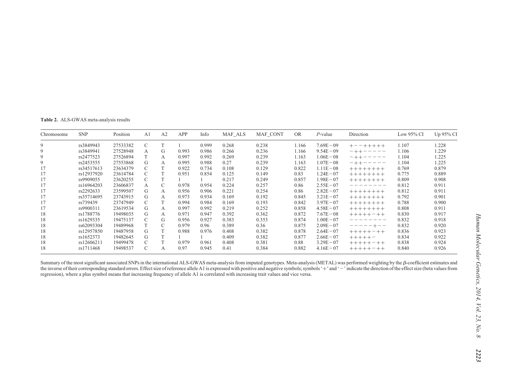<span id="page-3-0"></span>Table 2. ALS-GWAS meta-analysis results

| Chromosome | <b>SNP</b> | Position | A <sub>1</sub> | A2 | APP   | Info  | MAF ALS | MAF CONT | <b>OR</b> | P-value       | Direction         | Low $95\%$ CI | Up $95\%$ CI |
|------------|------------|----------|----------------|----|-------|-------|---------|----------|-----------|---------------|-------------------|---------------|--------------|
| 9          | rs3849943  | 27533382 | C              |    |       | 0.999 | 0.268   | 0.238    | 1.166     | $7.69E - 09$  | $+ - - + + + + +$ | 1.107         | 1.228        |
| 9          | rs3849941  | 27528948 | A              | G  | 0.993 | 0.986 | 0.266   | 0.236    | 1.166     | $9.54E - 09$  | $- + + - - - - -$ | 1.106         | .229         |
| 9          | rs2477523  | 27526894 |                | А  | 0.997 | 0.992 | 0.269   | 0.239    | 1.163     | $1.06E - 08$  | $- + + - - - - -$ | 1.104         | 1.225        |
| 9          | rs2453555  | 27553868 | G              | А  | 0.995 | 0.988 | 0.27    | 0.239    | 1.163     | $0.07E - 0.8$ | $- + + - - - - -$ | 1.104         | 1.225        |
| 17         | rs34517613 | 23634379 |                |    | 0.922 | 0.734 | 0.108   | 0.129    | 0.822     | $1.11E - 08$  | ++++++++          | 0.769         | 0.879        |
| 17         | rs12937920 | 23614784 |                |    | 0.951 | 0.854 | 0.125   | 0.149    | 0.83      | $1.24E - 07$  | ++++++++          | 0.775         | 0.889        |
| 17         | rs9909055  | 23620255 |                |    |       |       | 0.217   | 0.249    | 0.857     | $1.98E - 07$  | ++++++++          | 0.809         | 0.908        |
| 17         | rs16964203 | 23606837 | A              | C  | 0.978 | 0.954 | 0.224   | 0.257    | 0.86      | $2.55E - 07$  | --------          | 0.812         | 0.911        |
|            | rs2292633  | 23599507 | G              | A  | 0.956 | 0.906 | 0.221   | 0.254    | 0.86      | $2.82E - 07$  | ++++++++          | 0.812         | 0.911        |
| 17         | rs35714695 | 23743915 | G              | А  | 0.973 | 0.934 | 0.169   | 0.192    | 0.845     | $3.21E - 07$  | ++++++++          | 0.792         | 0.901        |
| 17         | rs739439   | 23747949 |                |    | 0.994 | 0.984 | 0.169   | 0.193    | 0.842     | $3.97E - 07$  | ++++++++          | 0.788         | 0.900        |
| 17         | rs9900311  | 23619534 | G              | А  | 0.997 | 0.992 | 0.219   | 0.252    | 0.858     | $4.58E - 07$  | ++++++++          | 0.808         | 0.911        |
| 18         | rs1788776  | 19498035 | G              | A  | 0.971 | 0.947 | 0.392   | 0.362    | 0.872     | $7.67E - 08$  | $++++-++$         | 0.830         | 0.917        |
| 18         | rs1629335  | 19475137 |                | G  | 0.956 | 0.927 | 0.383   | 0.353    | 0.874     | $1.00E - 07$  | --------          | 0.832         | 0.918        |
| 18         | rs62093304 | 19489968 |                | C  | 0.979 | 0.96  | 0.389   | 0.36     | 0.875     | $2.09E - 07$  | $----++--$        | 0.832         | 0.920        |
| 18         | rs12957850 | 19487958 | G              |    | 0.988 | 0.976 | 0.408   | 0.382    | 0.878     | $2.64E - 07$  | $++++-++$         | 0.836         | 0.923        |
| 18         | rs1652373  | 19482645 | G              |    |       |       | 0.409   | 0.382    | 0.877     | $2.66E - 07$  | $++++-$           | 0.834         | 0.922        |
| 18         | rs12606211 | 19499478 |                |    | 0.979 | 0.961 | 0.408   | 0.381    | 0.88      | $3.29E - 07$  | $++++-++$         | 0.838         | 0.924        |
| 18         | rs1711468  | 19498537 |                | А  | 0.97  | 0.945 | 0.41    | 0.384    | 0.882     | $4.16E - 07$  | $++++-++$         | 0.840         | 0.926        |

Summary of the most significant associated SNPs in the international ALS-GWAS meta-analysis from imputed genotypes. Meta-analysis (METAL) was performed weighting by the  $\beta$ -coefficient estimates and the inverse of their corresponding standard errors. Effect size of reference allele A1 is expressed with positive and negative symbols; symbols '+' and '-' indicate the direction of the effect size (beta values from regression), where <sup>a</sup> plus symbol means that increasing frequency of allele A1 is correlated with increasing trait values and vice versa.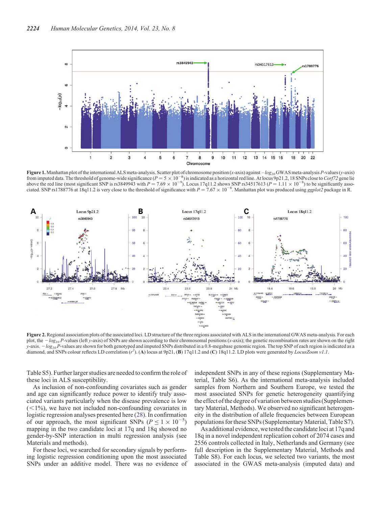<span id="page-4-0"></span>

Figure 1. Manhattan plot of the international ALS meta-analysis. Scatter plot of chromosome position (x-axis) against  $-log_{10}$  GWAS meta-analysis P-values (y-axis) from imputed data. The threshold of genome-wide significance  $(P = 5 \times 10^{-8})$  is indicated as a horizontal red line. At locus 9p21.2, 18 SNPs close to Corf72 gene lie<br>above the red line (most significant SNP is rs3849943 wi ciated. SNP rs1788776 at 18q11.2 is very close to the threshold of significance with  $P = 7.67 \times 10^{-8}$ . Manhattan plot was produced using ggplot2 package in R.



Figure 2. Regional association plots of the associated loci. LD structure of the three regions associated with ALS in the international GWAS meta-analysis. For each plot, the  $-\log_{10} P$ -values (left y-axis) of SNPs are shown according to their chromosomal positions (x-axis); the genetic recombination rates are shown on the right y-axis.  $-\log_{10}P$ -values are shown for both genotyped and imputed SNPs distributed in a 0.8-megabase genomic region. The top SNP of each region is indicated as a diamond, and SNPs colour reflects LD correlation  $(r^2)$ . (A) locus at 9p21, (B) 17q11.2 and (C) 18q11.2. LD plots were generated by LocusZoom v1.1.

[Table S5\)](http://hmg.oxfordjournals.org/lookup/suppl/doi:10.1093/hmg/ddt587/-/DC1). Further larger studies are needed to confirm the role of these loci in ALS susceptibility.

As inclusion of non-confounding covariates such as gender and age can significantly reduce power to identify truly associated variants particularly when the disease prevalence is low  $(<1%)$ , we have not included non-confounding covariates in logistic regression analyses presented here ([28\)](#page-9-0). In confirmation of our approach, the most significant SNPs ( $P \le 1 \times 10^{-5}$ ) mapping in the two candidate loci at 17q and 18q showed no gender-by-SNP interaction in multi regression analysis (see Materials and methods).

For these loci, we searched for secondary signals by performing logistic regression conditioning upon the most associated SNPs under an additive model. There was no evidence of independent SNPs in any of these regions [\(Supplementary Ma](http://hmg.oxfordjournals.org/lookup/suppl/doi:10.1093/hmg/ddt587/-/DC1)[terial, Table S6\)](http://hmg.oxfordjournals.org/lookup/suppl/doi:10.1093/hmg/ddt587/-/DC1). As the international meta-analysis included samples from Northern and Southern Europe, we tested the most associated SNPs for genetic heterogeneity quantifying the effect of the degree of variation between studies [\(Supplemen](http://hmg.oxfordjournals.org/lookup/suppl/doi:10.1093/hmg/ddt587/-/DC1)[tary Material, Methods](http://hmg.oxfordjournals.org/lookup/suppl/doi:10.1093/hmg/ddt587/-/DC1)). We observed no significant heterogeneity in the distribution of allele frequencies between European populations for these SNPs ([Supplementary Material, Table S7](http://hmg.oxfordjournals.org/lookup/suppl/doi:10.1093/hmg/ddt587/-/DC1)).

As additional evidence, we tested the candidate loci at 17q and 18q in a novel independent replication cohort of 2074 cases and 2556 controls collected in Italy, Netherlands and Germany (see full description in the [Supplementary Material, Methods](http://hmg.oxfordjournals.org/lookup/suppl/doi:10.1093/hmg/ddt587/-/DC1) and [Table S8\)](http://hmg.oxfordjournals.org/lookup/suppl/doi:10.1093/hmg/ddt587/-/DC1). For each locus, we selected two variants, the most associated in the GWAS meta-analysis (imputed data) and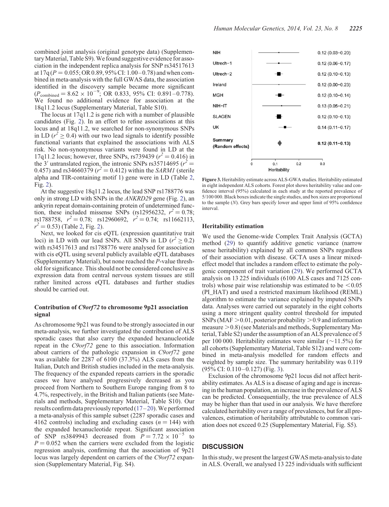combined joint analysis (original genotype data) [\(Supplemen](http://hmg.oxfordjournals.org/lookup/suppl/doi:10.1093/hmg/ddt587/-/DC1)[tary Material, Table S9\)](http://hmg.oxfordjournals.org/lookup/suppl/doi:10.1093/hmg/ddt587/-/DC1). We found suggestive evidence for association in the independent replica analysis for SNP rs34517613 at  $17q (P = 0.055; OR 0.89, 95\% CI: 1.00-0.78)$  and when combined in meta-analysis with the full GWAS data, the association identified in the discovery sample became more significant  $(P_{\text{combined}} = 8.62 \times 10^{-9}; \text{ OR } 0.833, 95\% \text{ CI: } 0.891 - 0.778).$ We found no additional evidence for association at the 18q11.2 locus ([Supplementary Material, Table S10](http://hmg.oxfordjournals.org/lookup/suppl/doi:10.1093/hmg/ddt587/-/DC1)).

The locus at 17q11.2 is gene rich with a number of plausible candidates (Fig. [2](#page-4-0)). In an effort to refine associations at this locus and at 18q11.2, we searched for non-synonymous SNPs in LD ( $r^2 \ge 0.4$ ) with our two lead signals to identify possible functional variants that explained the associations with ALS risk. No non-synonymous variants were found in LD at the 17q11.2 locus; however, three SNPs, rs739439 ( $r^2 = 0.416$ ) in the 3' untranslated region, the intronic SNPs rs35714695 ( $r^2$  = 0.457) and rs34660379 ( $r^2 = 0.412$ ) within the *SARM1* (sterile alpha and TIR-containing motif 1) gene were in LD (Table [2](#page-3-0), Fig. [2](#page-4-0)).

At the suggestive 18q11.2 locus, the lead SNP rs1788776 was only in strong LD with SNPs in the ANKRD29 gene (Fig. [2](#page-4-0)), an ankyrin repeat domain-containing protein of undetermined function, these included missense SNPs (rs12956232,  $r^2 = 0.78$ ; rs1788758,  $r^2 = 0.78$ ; rs12960692,  $r^2 = 0.74$ ; rs11662113,  $r^2 = 0.53$  $r^2 = 0.53$  $r^2 = 0.53$ ) (Table 2, Fig. [2\)](#page-4-0).

Next, we looked for cis eQTL (expression quantitative trait loci) in LD with our lead SNPs. All SNPs in LD  $(r^2 \ge 0.2)$ with rs34517613 and rs1788776 were analysed for association with cis eQTL using several publicly available eQTL databases [\(Supplementary Material](http://hmg.oxfordjournals.org/lookup/suppl/doi:10.1093/hmg/ddt587/-/DC1)), but none reached the P-value threshold for significance. This should not be considered conclusive as expression data from central nervous system tissues are still rather limited across eQTL databases and further studies should be carried out.

## Contribution of C9orf72 to chromosome 9p21 association signal

As chromosome 9p21 was found to be strongly associated in our meta-analysis, we further investigated the contribution of ALS sporadic cases that also carry the expanded hexanucleotide repeat in the C9orf72 gene to this association. Information about carriers of the pathologic expansion in C9orf72 gene was available for 2287 of 6100 (37.3%) ALS cases from the Italian, Dutch and British studies included in the meta-analysis. The frequency of the expanded repeats carriers in the sporadic cases we have analysed progressively decreased as you proceed from Northern to Southern Europe ranging from 8 to 4.7%, respectively, in the British and Italian patients (see Materials and methods, [Supplementary Material, Table S10\)](http://hmg.oxfordjournals.org/lookup/suppl/doi:10.1093/hmg/ddt587/-/DC1). Our results confirm data previously reported [\(17](#page-9-0)–[20\)](#page-9-0). We performed a meta-analysis of this sample subset (2287 sporadic cases and 4162 controls) including and excluding cases  $(n = 144)$  with the expanded hexanucleotide repeat. Significant association of SNP rs3849943 decreased from  $P = 7.72 \times 10^{-5}$  to  $P = 0.052$  when the carriers were excluded from the logistic regression analysis, confirming that the association of 9p21 locus was largely dependent on carriers of the C9orf72 expansion [\(Supplementary Material, Fig. S4\)](http://hmg.oxfordjournals.org/lookup/suppl/doi:10.1093/hmg/ddt587/-/DC1).



Figure 3. Heritability estimate across ALS-GWA studies. Heritability estimated in eight independent ALS cohorts. Forest plot shows heritability value and confidence interval (95%) calculated in each study at the reported prevalence of 5/100 000. Black boxes indicate the single studies, and box sizes are proportional to the sample (N). Grey bars specify lower and upper limit of 95% confidence interval.

## Heritability estimation

We used the Genome-wide Complex Trait Analysis (GCTA) method ([29\)](#page-9-0) to quantify additive genetic variance (narrow sense heritability) explained by all common SNPs regardless of their association with disease. GCTA uses a linear mixedeffect model that includes a random effect to estimate the polygenic component of trait variation ([29\)](#page-9-0). We performed GCTA analysis on 13 225 individuals (6100 ALS cases and 7125 controls) whose pair wise relationship was estimated to be  $\leq 0.05$ (PI\_HAT) and used a restricted maximum likelihood (REML) algorithm to estimate the variance explained by imputed SNPs data. Analyses were carried out separately in the eight cohorts using a more stringent quality control threshold for imputed SNPs (MAF  $> 0.01$ , posterior probability  $> 0.9$  and information measure  $> 0.8$ ) (see Materials and methods, [Supplementary Ma](http://hmg.oxfordjournals.org/lookup/suppl/doi:10.1093/hmg/ddt587/-/DC1)[terial, Table S2\)](http://hmg.oxfordjournals.org/lookup/suppl/doi:10.1093/hmg/ddt587/-/DC1) under the assumption of an ALS prevalence of 5 per 100 000. Heritability estimates were similar ( $\sim$ 11.5%) for all cohorts ([Supplementary Material, Table S12](http://hmg.oxfordjournals.org/lookup/suppl/doi:10.1093/hmg/ddt587/-/DC1)) and were combined in meta-analysis modelled for random effects and weighted by sample size. The summary heritability was 0.119 (95% CI: 0.110–0.127) (Fig. 3).

Exclusion of the chromosome 9p21 locus did not affect heritability estimates. As ALS is a disease of aging and age is increasing in the human population, an increase in the prevalence of ALS can be predicted. Consequentially, the true prevalence of ALS may be higher than that used in our analysis. We have therefore calculated heritability over a range of prevalences, but for all prevalences, estimation of heritability attributable to common variation does not exceed 0.25 [\(Supplementary Material, Fig. S5\)](http://hmg.oxfordjournals.org/lookup/suppl/doi:10.1093/hmg/ddt587/-/DC1).

# **DISCUSSION**

In this study, we present the largest GWAS meta-analysis to date in ALS. Overall, we analysed 13 225 individuals with sufficient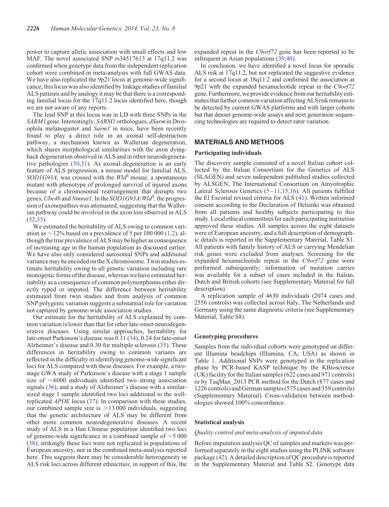power to capture allelic association with small effects and low MAF. The novel associated SNP rs34517613 at 17q11.2 was confirmed when genotype data from the independent replication cohort were combined in meta-analysis with full GWAS data. We have also replicated the 9p21 locus at genome-wide significance; this locus was also identified by linkage studies of familial ALS patients and by analogy it may be that there is a corresponding familial locus for the 17q11.2 locus identified here, though we are not aware of any reports.

The lead SNP at this locus was in LD with three SNPs in the SARM1 gene. Interestingly, SARM1 orthologues, dSarm in Drosophila melanogaster and Sarm1 in mice, have been recently found to play a direct role in an axonal self-destruction pathway, a mechanism known as Wallerian degeneration, which shares morphological similarities with the axon dyingback degeneration observed in ALS and in other neurodegenerative pathologies ([30,31](#page-9-0)). As axonal degeneration is an early feature of ALS progression, a mouse model for familial ALS,  $SOD1G93A$ , was crossed with the  $Wld^S$  mouse, a spontaneous mutant with phenotype of prolonged survival of injured axons because of a chromosomal rearrangement that disrupts two genes, Ube4b and Nmnat1. In the SOD1G93A/Wld<sup>S</sup>, the progression of axonopathies was attenuated, suggesting that the Wallerian pathway could be involved in the axon loss observed in ALS [\(32](#page-9-0),[33\)](#page-9-0).

We estimated the heritability of ALS owing to common variation as  $\sim$  12% based on a prevalence of 5 per 100 000 ([1,2](#page-8-0)), although the true prevalence of ALS may be higher as consequence of increasing age in the human population as discussed earlier. We have also only considered autosomal SNPs and additional variance may be encoded on the X chromosome. Twin studies estimate heritability owing to all genetic variation including rare monogenic forms of the disease, whereas we have estimated heritability as a consequence of common polymorphisms either directly typed or imputed. The difference between heritability estimated from twin studies and from analysis of common SNP polygenic variation suggests a substantial role for variation not captured by genome-wide association studies.

Our estimate for the heritability of ALS explained by common variation is lower than that for other late-onset neurodegenerative diseases. Using similar approaches, heritability for late-onset Parkinson's disease was 0.31 ([34\)](#page-9-0), 0.24 for late-onset Alzheimer's disease and 0.30 for multiple sclerosis ([35\)](#page-9-0). These differences in heritability owing to common variants are reflected in the difficulty in identifying genome-wide significant loci for ALS compared with these diseases. For example, a twostage GWA study of Parkinson's disease with a stage 1 sample size of  $\sim 6000$  individuals identified two strong association signals ([36\)](#page-9-0), and a study of Alzheimer's disease with a similarsized stage 1 sample identified two loci additional to the wellreplicated APOE locus [\(37](#page-9-0)). In comparison with these studies, our combined sample size is  $>13000$  individuals, suggesting that the genetic architecture of ALS may be different from other more common neurodegenerative diseases. A recent study of ALS in a Han Chinese population identified two loci of genome-wide significance in a combined sample of  $\sim$  5 000 [\(38](#page-9-0)); strikingly these loci were not replicated in populations of European ancestry, nor in the combined meta-analysis reported here. This suggests there may be considerable heterogeneity in ALS risk loci across different ethnicities; in support of this, the

expanded repeat in the *C9orf72* gene has been reported to be infrequent in Asian populations ([39,40](#page-9-0)).

In conclusion, we have identified a novel locus for sporadic ALS risk at 17q11.2, but not replicated the suggestive evidence for a second locus at 18q11.2 and confirmed the association at 9p21 with the expanded hexanucleotide repeat in the C9orf72 gene. Furthermore, we provide evidence from our heritability estimates that further common variation affecting ALS risk remains to be detected by current GWAS platforms and with larger cohorts but that denser genome-wide assays and next generation sequencing technologies are required to detect rarer variation.

# MATERIALS AND METHODS

#### Participating individuals

The discovery sample consisted of a novel Italian cohort collected by the Italian Consortium for the Genetics of ALS (SLAGEN) and seven independent published studies collected by ALSGEN, The International Consortium on Amyotrophic Lateral Sclerosis Genetics [\(5](#page-8-0)–[11](#page-8-0),[15,16](#page-9-0)). All patients fulfilled the El Escorial revised criteria for ALS [\(41\)](#page-9-0). Written informed consent according to the Declaration of Helsinki was obtained from all patients and healthy subjects participating to this study. Local ethical committees for each participating institution approved these studies. All samples across the eight datasets were of European ancestry, and a full description of demographic details is reported in the [Supplementary Material, Table S1](http://hmg.oxfordjournals.org/lookup/suppl/doi:10.1093/hmg/ddt587/-/DC1). All patients with family history of ALS or carrying Mendelian risk genes were excluded from analyses. Screening for the expanded hexanucleotide repeat in the C9orf72 gene were performed subsequently; information of mutation carries was available for a subset of cases included in the Italian, Dutch and British cohorts (see [Supplementary Material](http://hmg.oxfordjournals.org/lookup/suppl/doi:10.1093/hmg/ddt587/-/DC1) for full description).

A replication sample of 4630 individuals (2074 cases and 2556 controls) was collected across Italy, The Netherlands and Germany using the same diagnostic criteria (see [Supplementary](http://hmg.oxfordjournals.org/lookup/suppl/doi:10.1093/hmg/ddt587/-/DC1) [Material, Table S8\)](http://hmg.oxfordjournals.org/lookup/suppl/doi:10.1093/hmg/ddt587/-/DC1).

## Genotyping procedures

Samples from the individual cohorts were genotyped on different Illumina beadchips (Illumina, CA, USA) as shown in Table [1.](#page-2-0) Additional SNPs were genotyped in the replication phase by PCR-based KASP technique by the KBioscience (UK) facility for the Italian samples (622 cases and 971 controls) or by TaqMan\_2013 PCR method for the Dutch (877 cases and 1226 controls) and German samples (575 cases and 359 controls) [\(Supplementary Material\)](http://hmg.oxfordjournals.org/lookup/suppl/doi:10.1093/hmg/ddt587/-/DC1). Cross-validation between methodologies showed 100% concordance.

#### Statistical analysis

## Quality control and meta-analysis of imputed data

Before imputation analysis QC of samples and markers was performed separately in the eight studies using the PLINK software package ([42\)](#page-9-0). A detailed description of QC procedure is reported in the [Supplementary Material](http://hmg.oxfordjournals.org/lookup/suppl/doi:10.1093/hmg/ddt587/-/DC1) and [Table S2](http://hmg.oxfordjournals.org/lookup/suppl/doi:10.1093/hmg/ddt587/-/DC1). Genotype data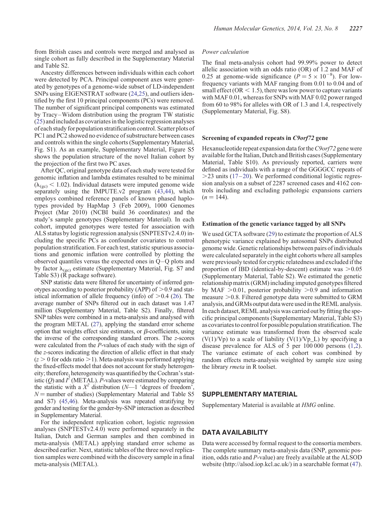from British cases and controls were merged and analysed as single cohort as fully described in the [Supplementary Material](http://hmg.oxfordjournals.org/lookup/suppl/doi:10.1093/hmg/ddt587/-/DC1) and [Table S2.](http://hmg.oxfordjournals.org/lookup/suppl/doi:10.1093/hmg/ddt587/-/DC1)

Ancestry differences between individuals within each cohort were detected by PCA. Principal component axes were generated by genotypes of a genome-wide subset of LD-independent SNPs using EIGENSTRAT software ([24,25](#page-9-0)), and outliers identified by the first 10 principal components (PCs) were removed. The number of significant principal components was estimated by Tracy–Widom distribution using the program TW statistic [\(25](#page-9-0)) and included as covariates in the logistic regression analyses of each study for population stratification control. Scatter plots of PC1 and PC2 showed no evidence of substructure between cases and controls within the single cohorts ([Supplementary Material,](http://hmg.oxfordjournals.org/lookup/suppl/doi:10.1093/hmg/ddt587/-/DC1) [Fig. S1\)](http://hmg.oxfordjournals.org/lookup/suppl/doi:10.1093/hmg/ddt587/-/DC1). As an example, [Supplementary Material, Figure S5](http://hmg.oxfordjournals.org/lookup/suppl/doi:10.1093/hmg/ddt587/-/DC1) shows the population structure of the novel Italian cohort by the projection of the first two PC axes.

After QC, original genotype data of each study were tested for genomic inflation and lambda estimates resulted to be minimal  $(\lambda_{\text{(gc)}} < 1.02)$ . Individual datasets were imputed genome wide separately using the IMPUTE.v2 program ([43,44](#page-9-0)), which employs combined reference panels of known phased haplotypes provided by HapMap 3 (Feb 2009), 1000 Genomes Project (Mar 2010) (NCBI build 36 coordinates) and the study's sample genotypes ([Supplementary Material\)](http://hmg.oxfordjournals.org/lookup/suppl/doi:10.1093/hmg/ddt587/-/DC1). In each cohort, imputed genotypes were tested for association with ALS status by logistic regression analysis (SNPTESTv2.4.0) including the specific PCs as confounder covariates to control population stratification. For each test, statistic spurious associations and genomic inflation were controlled by plotting the observed quantiles versus the expected ones in Q–Q plots and by factor  $\lambda_{(gc)}$  estimate ([Supplementary Material, Fig. S7](http://hmg.oxfordjournals.org/lookup/suppl/doi:10.1093/hmg/ddt587/-/DC1) and [Table S3\)](http://hmg.oxfordjournals.org/lookup/suppl/doi:10.1093/hmg/ddt587/-/DC1) (R package software).

SNP statistic data were filtered for uncertainty of inferred genotypes according to posterior probability (APP) of  $>0.9$  and statistical information of allele frequency (info) of  $>0.4$  [\(26\)](#page-9-0). The average number of SNPs filtered out in each dataset was 1.47 million [\(Supplementary Material, Table S2\)](http://hmg.oxfordjournals.org/lookup/suppl/doi:10.1093/hmg/ddt587/-/DC1). Finally, filtered SNP tables were combined in a meta-analysis and analysed with the program METAL [\(27](#page-9-0)), applying the standard error scheme option that weights effect size estimates, or  $\beta$ -coefficients, using the inverse of the corresponding standard errors. The z-scores were calculated from the P-values of each study with the sign of the z-scores indicating the direction of allelic effect in that study  $(z > 0$  for odds ratio  $> 1$ ). Meta-analysis was performed applying the fixed-effects model that does not account for study heterogeneity; therefore, heterogeneity was quantified by the Cochran's statistic (Q) and  $I^2$  (METAL). P-values were estimated by comparing the statistic with a  $X^2$  distribution ( $N$ —1 'degrees of freedom',  $N =$  number of studies) [\(Supplementary Material](http://hmg.oxfordjournals.org/lookup/suppl/doi:10.1093/hmg/ddt587/-/DC1) and [Table S5](http://hmg.oxfordjournals.org/lookup/suppl/doi:10.1093/hmg/ddt587/-/DC1) [and S7](http://hmg.oxfordjournals.org/lookup/suppl/doi:10.1093/hmg/ddt587/-/DC1)) ([45](#page-9-0),[46](#page-9-0)). Meta-analysis was repeated stratifying by gender and testing for the gender-by-SNP interaction as described in [Supplementary Material](http://hmg.oxfordjournals.org/lookup/suppl/doi:10.1093/hmg/ddt587/-/DC1).

For the independent replication cohort, logistic regression analyses (SNPTESTv2.4.0) were performed separately in the Italian, Dutch and German samples and then combined in meta-analysis (METAL) applying standard error scheme as described earlier. Next, statistic tables of the three novel replication samples were combined with the discovery sample in a final meta-analysis (METAL).

#### Power calculation

The final meta-analysis cohort had 99.99% power to detect allelic association with an odds ratio (OR) of 1.2 and MAF of 0.25 at genome-wide significance  $(P = 5 \times 10^{-8})$ . For lowfrequency variants with MAF ranging from 0.01 to 0.04 and of small effect ( $OR < 1.5$ ), there was low power to capture variants with MAF 0.01, whereas for SNPs with MAF 0.02 power ranged from 60 to 98% for alleles with OR of 1.3 and 1.4, respectively [\(Supplementary Material, Fig. S8\)](http://hmg.oxfordjournals.org/lookup/suppl/doi:10.1093/hmg/ddt587/-/DC1).

#### Screening of expanded repeats in C9orf72 gene

Hexanucleotide repeat expansion data for the C9orf72 gene were available for the Italian, Dutch and British cases [\(Supplementary](http://hmg.oxfordjournals.org/lookup/suppl/doi:10.1093/hmg/ddt587/-/DC1) [Material, Table S10](http://hmg.oxfordjournals.org/lookup/suppl/doi:10.1093/hmg/ddt587/-/DC1)). As previously reported, carriers were defined as individuals with a range of the GGGGCC repeats of  $>$ 23 units [\(17](#page-9-0)–[20](#page-9-0)). We performed conditional logistic regression analysis on a subset of 2287 screened cases and 4162 controls including and excluding pathologic expansions carriers  $(n = 144)$ .

#### Estimation of the genetic variance tagged by all SNPs

We used GCTA software ([29\)](#page-9-0) to estimate the proportion of ALS phenotypic variance explained by autosomal SNPs distributed genome wide. Genetic relationships between pairs of individuals were calculated separately in the eight cohorts where all samples were previously tested for cryptic relatedness and excluded if the proportion of IBD (identical-by-descent) estimate was  $> 0.05$ [\(Supplementary Material, Table S2\)](http://hmg.oxfordjournals.org/lookup/suppl/doi:10.1093/hmg/ddt587/-/DC1). We estimated the genetic relationship matrix (GRM) including imputed genotypes filtered by MAF  $>$ 0.01, posterior probability  $>$ 0.9 and information measure  $>0.8$ . Filtered genotype data were submitted to GRM analysis, and GRMs output data were used in the REML analysis. In each dataset, REML analysis was carried out by fitting the specific principal components [\(Supplementary Material, Table S3\)](http://hmg.oxfordjournals.org/lookup/suppl/doi:10.1093/hmg/ddt587/-/DC1) as covariates to control for possible population stratification. The variance estimate was transformed from the observed scale  $(V(1)/Vp)$  to a scale of liability  $(V(1)/Vp_L)$  by specifying a disease prevalence for ALS of 5 per 100 000 persons ([1,2](#page-8-0)). The variance estimate of each cohort was combined by random effects meta-analysis weighted by sample size using the library rmeta in R toolset.

# SUPPLEMENTARY MATERIAL

[Supplementary Material is available at](http://hmg.oxfordjournals.org/lookup/suppl/doi:10.1093/hmg/ddt587/-/DC1) HMG online.

# DATA AVAILABILITY

Data were accessed by formal request to the consortia members. The complete summary meta-analysis data (SNP, genomic position, odds ratio and P-value) are freely available at the ALSOD website (http://alsod.iop.kcl.ac.uk/) in a searchable format [\(47](#page-9-0)).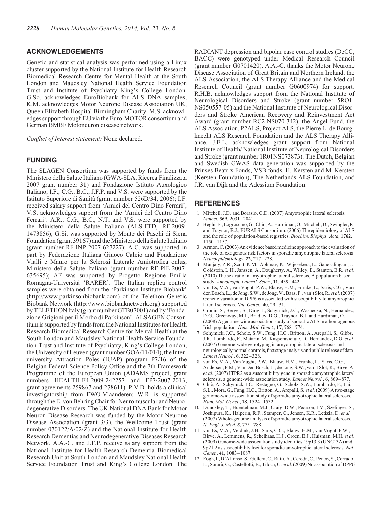# <span id="page-8-0"></span>ACKNOWLEDGEMENTS

Genetic and statistical analysis was performed using a Linux cluster supported by the National Institute for Health Research Biomedical Research Centre for Mental Health at the South London and Maudsley National Health Service Foundation Trust and Institute of Psychiatry King's College London. G.So. acknowledges EuroBiobank for ALS DNA samples; K.M. acknowledges Motor Neurone Disease Association UK, Queen Elizabeth Hospital Birmingham Charity. M.S. acknowledges support through EU via the Euro-MOTOR consortium and German BMBF Motoneuron disease network.

Conflict of Interest statement: None declared.

# FUNDING

The SLAGEN Consortium was supported by funds from the Ministero della Salute Italiano (GWA-SLA, Ricerca Finalizzata 2007 grant number 31) and Fondazione Istituto Auxologico Italiano; I.F., C.G., B.C., J.F.P. and V.S. were supported by the Istituto Superiore di Sanita` (grant number 526D/34, 2006); I.F. received salary support from 'Amici del Centro Dino Ferrari'; V.S. acknowledges support from the 'Amici del Centro Dino Ferrari'. A.R., C.G., B.C., N.T. and V.S. were supported by the Ministero della Salute Italiano (ALS-FTD, RF-2009- 1473856); G.Si. was supported by Monte dei Paschi di Siena Foundation (grant 39167) and the Ministero della Salute Italiano (grant number RF-INP-2007-627227); A.C. was supported in part by Federazione Italiana Giuoco Calcio and Fondazione Vialli e Mauro per la Sclerosi Laterale Amiotrofica onlus, Ministero della Salute Italiano (grant number RF-PIE-2007- 635695); AF was supported by Progetto Regione Emilia Romagna-Universita` 'RARER'. The Italian replica control samples were obtained from the 'Parkinson Institute Biobank' (http://www.parkinsonbiobank.com) of the Telethon Genetic Biobank Network (http://www.biobanknetwork.org) supported by TELETHON Italy (grant number GTB07001) and by 'Fondazione Grigioni per il Morbo di Parkinson'. ALSAGEN Consortium is supported by funds from the National Institutes for Health Research Biomedical Research Centre for Mental Health at the South London and Maudsley National Health Service Foundation Trust and Institute of Psychiatry, King's College London, the University of Leuven (grant number GOA/11/014), the Interuniversity Attraction Poles (IUAP) program P7/16 of the Belgian Federal Science Policy Office and the 7th Framework Programme of the European Union (ADAMS project, grant numbers HEALTH-F4-2009-242257 and FP7/2007-2013, grant agreements 259867 and 278611). P.V.D. holds a clinical investigatorship from FWO-Vlaanderen; W.R. is supported through the E. von Behring Chair for Neuromuscular and Neurodegenerative Disorders. The UK National DNA Bank for Motor Neuron Disease Research was funded by the Motor Neurone Disease Association (grant 3/3), the Wellcome Trust (grant number 070122/A/02/Z) and the National Institute for Health Research Dementias and Neurodegenerative Diseases Research Network. A.A.-C. and J.F.P. receive salary support from the National Institute for Health Research Dementia Biomedical Research Unit at South London and Maudsley National Health Service Foundation Trust and King's College London. The

RADIANT depression and bipolar case control studies (DeCC, BACC) were genotyped under Medical Research Council (grant number G0701420). A.A.-C. thanks the Motor Neurone Disease Association of Great Britain and Northern Ireland, the ALS Association, the ALS Therapy Alliance and the Medical Research Council (grant number G0600974) for support. R.H.B. acknowledges support from the National Institute of Neurological Disorders and Stroke (grant number 5RO1- NS050557-05) and the National Institute of Neurological Disorders and Stroke American Recovery and Reinvestment Act Award (grant number RC2-NS070-342), the Angel Fund, the ALS Association, P2ALS, Project ALS, the Pierre L. de Bourgknecht ALS Research Foundation and the ALS Therapy Alliance. J.E.L. acknowledges grant support from National Institute of Health/ National Institute of Neurological Disorders and Stroke (grant number 1R01NS073873). The Dutch, Belgian and Swedish GWAS data generation was supported by the Prinses Beatrix Fonds, VSB fonds, H. Kersten and M. Kersten (Kersten Foundation), The Netherlands ALS Foundation, and J.R. van Dijk and the Adessium Foundation.

## **REFERENCES**

- 1. Mitchell, J.D. and Borasio, G.D. (2007) Amyotrophic lateral sclerosis. Lancet, 369, 2031–2041.
- 2. Beghi, E., Logroscino,G., Chio`, A., Hardiman, O., Mitchell, D., Swingler, R. and Traynor, B.J., EURALS Consortium. (2006) The epidemiology of ALS and the role of population-based registries. Biochim. Biophys. Acta, 1762, 1150–1157.
- 3. Armon, C. (2003) An evidence based medicine approach to the evaluation of the role of exogenous risk factors in sporadic amyotrophic lateral sclerosis. Neuroepidemiology, 22, 217–228.
- 4. Manjaly, Z.R., Scott, K.M., Abhinav, K., Wijesekera, L., Ganesalingam, J., Goldstein, L.H., Janssen, A., Dougherty, A., Willey, E., Stanton, B.R. et al. (2010) The sex ratio in amyotrophic lateral sclerosis, A population based study. Amyotroph. Lateral. Scler., 11, 439–442.
- 5. van Es, M.A., van Vught, P.W., Blauw, H.M., Franke, L., Saris, C.G., Van den Bosch, L., de Jong, S.W., de Jong, V., Baas, F., van't Slot, R. et al. (2007) Genetic variation in DPP6 is associated with susceptibility to amyotrophic lateral sclerosis. Nat. Genet., 40, 29-31.
- 6. Cronin, S., Berger, S., Ding, J., Schymick, J.C., Washecka, N., Hernandez, D.G., Greenway, M.J., Bradley, D.G., Traynor, B.J. and Hardiman, O. (2008) A genome-wide association study of sporadic ALS in a homogenous Irish population. Hum. Mol. Genet., 17, 768-774.
- 7. Schymick, J.C., Scholz, S.W., Fung, H.C., Britton, A., Arepalli, S., Gibbs, J.R., Lombardo, F., Matarin, M., Kasperaviciute, D., Hernandez, D.G. et al. (2007) Genome-wide genotyping in amyotrophic lateral sclerosis and neurologically normal controls, first stage analysis and public release of data. Lancet Neurol., 6, 322–328.
- 8. van Es, M.A., Van Vught, P.W., Blauw, H.M., Franke, L., Saris, C.G., Andersen, P.M., Van Den Bosch, L., de Jong, S.W., van' t Slot, R., Birve, A. et al. (2007) ITPR2 as a susceptibility gene in sporadic amyotrophic lateral sclerosis, a genome-wide association study. Lancet Neurol., 6, 869-877.
- 9. Chio`, A., Schymick, J.C., Restagno, G., Scholz, S.W., Lombardo, F., Lai, S.L., Mora, G., Fung, H.C., Britton, A., Arepalli, S. et al. (2009) A two-stage genome-wide association study of sporadic amyotrophic lateral sclerosis. Hum. Mol. Genet., 18, 1524-1532.
- 10. Dunckley, T., Huentelman, M.J., Craig, D.W., Pearson, J.V., Szelinger, S., Joshipura, K., Halperin, R.F., Stamper, C., Jensen, K.R., Letizia, D. et al. (2007) Whole-genome analysis of sporadic amyotrophic lateral sclerosis. N. Engl. J. Med. 8, 775–788.
- 11. van Es, M.A., Veldink, J.H., Saris, C.G., Blauw, H.M., van Vught, P.W., Birve, A., Lemmens, R., Schelhaas, H.J., Groen, E.J., Huisman, M.H. et al. (2009) Genome-wide association study identifies 19p13.3 (UNC13A) and 9p21.2 as susceptibility loci for sporadic amyotrophic lateral sclerosis. Nat. Genet., 41, 1083–1087.
- 12. Fogh, I., D'Alfonso, S., Gellera, C., Ratti, A., Cereda, C., Penco, S., Corrado, L., Sorarù, G., Castellotti, B., Tiloca, C. et al. (2009) No association of DPP6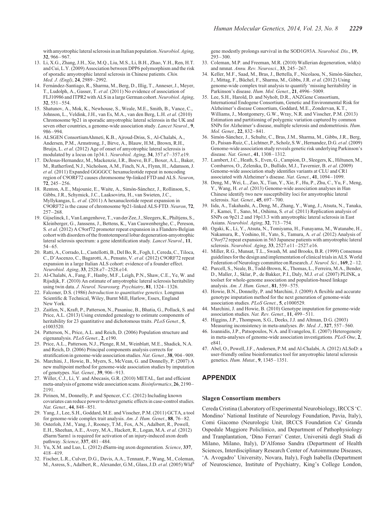<span id="page-9-0"></span>with amyotrophic lateral sclerosis in an Italian population. Neurobiol. Aging, 32, 966–967.

- 13. Li, X.G., Zhang, J.H., Xie, M.Q., Liu, M.S., Li, B.H., Zhao, Y.H., Ren, H.T. and Cui, L.Y. (2009) Association between DPP6 polymorphism and the risk of sporadic amyotrophic lateral sclerosis in Chinese patients. Chin. Med. J. (Engl), 24, 2989–2992.
- 14. Fernández-Santiago, R., Sharma, M., Berg, D., Illig, T., Anneser, J., Meyer, T., Ludolph, A., Gasser, T. et al. (2011) No evidence of association of FLJ10986 and ITPR2 with ALS in a large German cohort. Neurobiol. Aging, 32, 551–554.
- 15. Shatunov, A., Mok, K., Newhouse, S., Weale, M.E., Smith, B., Vance, C., Johnson, L., Veldink, J.H., van Es, M.A., van den Berg, L.H. et al. (2010) Chromosome 9p21 in sporadic amyotrophic lateral sclerosis in the UK and seven other countries, a genome-wide association study. Lancet Neurol., 9, 986–994.
- 16. ALSGEN ConsortiumAhmeti, K.B., Ajroud-Driss, S., Al-Chalabi, A., Andersen, P.M., Armstrong, J., Birve, A., Blauw, H.M., Brown, R.H., Bruijn, L. et al. (2012) Age of onset of amyotrophic lateral sclerosis is modulated by a locus on 1p34.1. Neurobiol. Aging, 34, 357.e7–357.e19.
- 17. DeJesus-Hernandez, M., Mackenzie, I.R., Boeve, B.F., Boxer, A.L., Baker, M., Rutherford, N.J., Nicholson, A.M., Finch, N.A., Flynn, H., Adamson, J. et al. (2011) Expanded GGGGCC hexanucleotide repeat in noncoding region of C9ORF72 causes chromosome 9p-linked FTD and ALS. Neuron, 72, 245–256.
- 18. Renton, A.E., Majounie, E., Waite, A., Simón-Sánchez, J., Rollinson, S., Gibbs, J.R., Schymick, J.C., Laaksovirta, H., van Swieten, J.C., Myllykangas, L. et al. (2011) A hexanucleotide repeat expansion in C9ORF72 is the cause of chromosome 9p21-linked ALS-FTD. Neuron, 72, 257–268.
- 19. Gijselinck, I., Van Langenhove, T., van der Zee, J., Sleegers, K., Philtjens, S., Kleinberger, G., Janssens, J., Bettens, K., Van Cauwenberghe, C., Pereson, S. et al. (2012) A C9orf72 promoter repeat expansion in a Flanders-Belgian cohort with disorders of the frontotemporal lobar degeneration-amyotrophic lateral sclerosis spectrum: a gene identification study. Lancet Neurol., 11, 54–65.
- 20. Ratti, A., Corrado, L., Castellotti, B., Del Bo, R., Fogh, I., Cereda, C., Tiloca, C., D'Ascenzo, C., Bagarotti, A., Pensato, V. et al. (2012) C9ORF72 repeat expansion in a large Italian ALS cohort: evidence of a founder effect. Neurobiol. Aging, 33, 2528.e7–2528.e14.
- 21. Al-Chalabi, A., Fang, F., Hanby, M.F., Leigh, P.N., Shaw, C.E., Ye, W. and Rijsdijk, F. (2010) An estimate of amyotrophic lateral sclerosis heritability using twin data. J. Neurol. Neurosurg. Psychiatry, 81, 1324-1326.
- 22. Falconer, D.S. (1986) Introduction to quantitative genetics. Longman Scientific & Technical, Wiley, Burnt Mill, Harlow, Essex, England New York.
- 23. Zaitlen, N., Kraft, P., Patterson, N., Pasaniuc, B., Bhatia, G., Pollack, S. and Price, A.L. (2013) Using extended genealogy to estimate components of heritability for 23 quantitative and dichotomous traits. PLoS Genet., 5, e1003520.
- 24. Patterson, N., Price, A.L. and Reich, D. (2006) Population structure and eigenanalysis. PLoS Genet., 2, e190.
- 25. Price, A.L., Patterson, N.J., Plenge, R.M., Weinblatt, M.E., Shadick, N.A. and Reich, D. (2006) Principal components analysis corrects for stratification in genome-wide association studies. Nat. Genet., 38, 904-909.
- 26. Marchini, J., Howie, B., Myers, S., McVean, G. and Donnelly, P. (2007) A new multipoint method for genome-wide association studies by imputation of genotypes. Nat. Genet., 39, 906–913.
- 27. Willer, C.J., Li, Y. and Abecasis, G.R. (2010) METAL, fast and efficient meta-analysis of genome wide association scans. Bioinformatics, 26, 2190– 2191.
- 28. Pirinen, M., Donnelly, P. and Spencer, C.C. (2012) Including known covariates can reduce power to detect genetic effects in case-control studies. Nat. Genet., 44, 848–851.
- 29. Yang, J., Lee, S.H., Goddard, M.E. and Visscher, P.M. (2011) GCTA, a tool for genome-wide complex trait analysis. Am. J. Hum. Genet., 88, 76–82.
- 30. Osterloh, J.M., Yang, J., Rooney, T.M., Fox, A.N., Adalbert, R., Powell, E.H., Sheehan, A.E., Avery, M.A., Hackett, R., Logan, M.A. et al. (2012) dSarm/Sarm1 is required for activation of an injury-induced axon death pathway. Science, 337, 481–484.
- 31. Yu, X.M. and Luo, L. (2012) dSarm-ing axon degeneration. Science, 337, 418–419.
- 32. Fischer, L.R., Culver, D.G., Davis, A.A., Tennant, P., Wang, M., Coleman, M., Asress, S., Adalbert, R., Alexander, G.M., Glass, J.D. et al. (2005) Wld<sup>S</sup>

gene modestly prolongs survival in the SOD1G93A. Neurobiol. Dis., 19, 293–300.

- 33. Coleman, M.P. and Freeman, M.R. (2010) Wallerian degeneration, wld(s) and nmnat. Annu. Rev. Neurosci., 33, 245–267.
- 34. Keller, M.F., Saad, M., Bras, J., Bettella, F., Nicolaou, N., Simón-Sánchez, J., Mittag, F., Büchel, F., Sharma, M., Gibbs, J.R. et al. (2012) Using genome-wide complex trait analysis to quantify 'missing heritability' in Parkinson's disease. Hum. Mol. Genet., 21, 4996-5009.
- 35. Lee, S.H., Harold, D. and Nyholt, D.R., ANZGene Consortium, International Endogene Consortium, Genetic and Environmental Risk for Alzheimer's disease Consortium, Goddard, M.E., Zondervan, K.T., Williams, J., Montgomery, G.W., Wray, N.R. and Visscher, P.M. (2013) Estimation and partitioning of polygenic variation captured by common SNPs for Alzheimer's disease, multiple sclerosis and endometriosis. Hum. Mol. Genet., 22, 832-841.
- 36. Simón-Sánchez, J., Schulte, C., Bras, J.M., Sharma, M., Gibbs, J.R., Berg, D., Paisan-Ruiz, C., Lichtner,P., Scholz, S.W., Hernandez,D.G. et al.(2009) Genome-wide association study reveals genetic risk underlying Parkinson's disease. Nat. Genet., 41, 1308–1312.
- 37. Lambert, J.C., Heath, S., Even, G., Campion, D., Sleegers, K., Hiltunen, M., Combarros, O., Zelenika, D., Bullido, M.J., Tavernier, B. et al. (2009) Genome-wide association study identifies variants at CLU and CR1 associated with Alzheimer's disease. Nat. Genet., 41, 1094–1099.
- 38. Deng, M., Wei, L., Zuo, X., Tian, Y., Xie, F., Hu, P., Zhu, C., Yu, F., Meng, Y., Wang, H. et al. (2013) Genome-wide association analyses in Han Chinese identify two new susceptibility loci for amyotrophic lateral sclerosis. Nat. Genet., 45, 697–700.
- 39. Iida, A., Takahashi, A., Deng, M., Zhang, Y., Wang, J., Atsuta, N., Tanaka, F., Kamei, T., Sano, M., Oshima, S. et al. (2011) Replication analysis of SNPs on 9p21.2 and 19p13.3 with amyotrophic lateral sclerosis in East Asians. Neurobiol. Aging, 32, 713–754.
- 40. Ogaki, K., Li, Y., Atsuta, N., Tomiyama, H., Funayama, M., Watanabe, H., Nakamura, R., Yoshino, H., Yato, S., Tamura, A. et al. (2012) Analysis of C9orf72 repeat expansion in 563 Japanese patients with amyotrophic lateral sclerosis. Neurobiol. Aging, 33, 2527.e11–2527.e16.
- 41. Miller, R.G., Munsat, T.L., Swash, M. and Brooks, B.R. (1999) Consensus guidelines for the design and implementation of clinical trials in ALS. World Federation of Neurology committee on Research. J. Neurol. Sci., 169, 2-12.
- 42. Purcell, S., Neale, B., Todd-Brown, K., Thomas, L., Ferreira, M.A., Bender, D., Maller, J., Sklar, P., de Bakker, P.I., Daly, M.J. et al. (2007) PLINK, a toolset for whole-genome association and population-based linkage analysis. Am. J. Hum. Genet., 81, 559–575.
- 43. Howie, B.N., Donnelly, P. and Marchini, J. (2009) A flexible and accurate genotype imputation method for the next generation of genome-wide association studies. PLoS Genet., 5, e1000529.
- 44. Marchini, J. and Howie, B. (2010) Genotype imputation for genome-wide association studies. Nat. Rev. Genet., 11, 499–511.
- 45. Higgins, J.P., Thompson, S.G., Deeks, J.J. and Altman, D.G. (2003) Measuring inconsistency in meta-analyses. Br. Med. J., 327, 557-560.
- 46. Ioannidis, J.P., Patsopoulos, N.A. and Evangelou, E. (2007) Heterogeneity in meta-analyses of genome-wide association investigations. PLoS One, 2, e841.
- 47. Abel, O., Powell, J.F., Andersen, P.M. and Al-Chalabi, A. (2012) ALSoD: a user-friendly online bioinformatics tool for amyotrophic lateral sclerosis genetics. Hum. Mutat., 9, 1345–1351.

# APPENDIX

#### Slagen Consortium members

Cereda Cristina (Laboratory of Experimental Neurobiology, IRCCS 'C. Mondino' National Institute of Neurology Foundation, Pavia, Italy), Comi Giacomo (Neurologic Unit, IRCCS Foundation Ca' Granda Ospedale Maggiore Policlinico, and Department of Pathophysiology and Tranplantation, 'Dino Ferrari' Center, Universita` degli Studi di Milano, Milano, Italy), D'Alfonso Sandra (Department of Health Sciences, Interdisciplinary Research Center of Autoimmune Diseases, 'A. Avogadro' University, Novara, Italy), Fogh Isabella (Department of Neuroscience, Institute of Psychiatry, King's College London,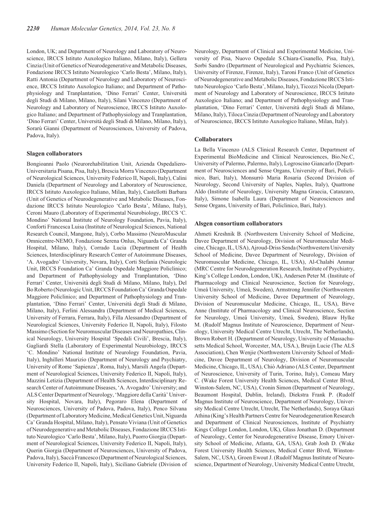London, UK; and Department of Neurology and Laboratory of Neuroscience, IRCCS Istituto Auxologico Italiano, Milano, Italy), Gellera Cinzia (Unit of Genetics of Neurodegenerative and Metabolic Diseases, Fondazione IRCCS Istituto Neurologico 'Carlo Besta', Milano, Italy), Ratti Antonia (Department of Neurology and Laboratory of Neuroscience, IRCCS Istituto Auxologico Italiano; and Department of Pathophysiology and Tranplantation, 'Dino Ferrari' Center, Universita` degli Studi di Milano, Milano, Italy), Silani Vincenzo (Department of Neurology and Laboratory of Neuroscience, IRCCS Istituto Auxologico Italiano; and Department of Pathophysiology and Tranplantation, 'Dino Ferrari' Center, Universita` degli Studi di Milano, Milano, Italy), Sorarù Gianni (Department of Neurosciences, University of Padova, Padova, Italy).

## Slagen collaborators

Bongioanni Paolo (Neurorehabilitation Unit, Azienda Ospedaliero-Universitaria Pisana, Pisa, Italy), Brescia Morra Vincenzo (Department of Neurological Sciences, University Federico II, Napoli, Italy), Calini Daniela (Department of Neurology and Laboratory of Neuroscience, IRCCS Istituto Auxologico Italiano, Milan, Italy), Castellotti Barbara (Unit of Genetics of Neurodegenerative and Metabolic Diseases, Fondazione IRCCS Istituto Neurologico 'Carlo Besta', Milano, Italy), Ceroni Mauro (Laboratory of Experimental Neurobiology, IRCCS 'C. Mondino' National Institute of Neurology Foundation, Pavia, Italy), Conforti Francesca Luisa (Institute of Neurological Sciences, National Research Council, Mangone, Italy), Corbo Massimo (NeuroMuscular Omnicentre-NEMO, Fondazione Serena Onlus, Niguarda Ca' Granda Hospital, Milano, Italy), Corrado Lucia (Department of Health Sciences, Interdisciplinary Research Center of Autoimmune Diseases, 'A. Avogadro' University, Novara, Italy), Corti Stefania (Neurologic Unit, IRCCS Foundation Ca' Granda Ospedale Maggiore Policlinico; and Department of Pathophysiology and Tranplantation, 'Dino Ferrari' Center, Universita` degli Studi di Milano, Milano, Italy), Del Bo Roberto (Neurologic Unit, IRCCS Foundation Ca' Granda Ospedale Maggiore Policlinico; and Department of Pathophysiology and Tranplantation, 'Dino Ferrari' Center, Universita` degli Studi di Milano, Milano, Italy), Ferlini Alessandra (Department of Medical Sciences, University of Ferrara, Ferrara, Italy), Filla Alessandro (Department of Neurological Sciences, University Federico II, Napoli, Italy), Filosto Massimo (Section for Neuromuscular Diseases and Neuropathies, Clinical Neurology, University Hospital 'Spedali Civili', Brescia, Italy), Gagliardi Stella (Laboratory of Experimental Neurobiology, IRCCS 'C. Mondino' National Institute of Neurology Foundation, Pavia, Italy), Inghilleri Maurizio (Department of Neurology and Psychiatry, University of Rome 'Sapienza', Roma, Italy), Marsili Angela (Department of Neurological Sciences, University Federico II, Napoli, Italy), Mazzini Letizia (Department of Health Sciences, Interdisciplinary Research Center of Autoimmune Diseases, 'A. Avogadro' University; and ALS Center Department of Neurology, 'Maggiore della Carita`' University Hospital, Novara, Italy), Pegoraro Elena (Department of Neurosciences, University of Padova, Padova, Italy), Penco Silvana (Department of Laboratory Medicine, Medical Genetics Unit, Niguarda Ca' Granda Hospital, Milano, Italy), Pensato Viviana (Unit of Genetics of Neurodegenerative and Metabolic Diseases, Fondazione IRCCS Istituto Neurologico 'Carlo Besta', Milano, Italy), Puorro Giorgia (Department of Neurological Sciences, University Federico II, Napoli, Italy), Querin Giorgia (Department of Neurosciences, University of Padova, Padova, Italy), Saccà Francesco (Department of Neurological Sciences, University Federico II, Napoli, Italy), Siciliano Gabriele (Division of Neurology, Department of Clinical and Experimental Medicine, University of Pisa, Nuovo Ospedale S.Chiara-Cisanello, Pisa, Italy), Sorbi Sandro (Department of Neurological and Psychiatric Sciences, University of Firenze, Firenze, Italy), Taroni Franco (Unit of Genetics of Neurodegenerative and Metabolic Diseases, Fondazione IRCCS Istituto Neurologico 'Carlo Besta', Milano, Italy), Ticozzi Nicola (Department of Neurology and Laboratory of Neuroscience, IRCCS Istituto Auxologico Italiano; and Department of Pathophysiology and Tranplantation, 'Dino Ferrari' Center, Universita` degli Studi di Milano, Milano, Italy), Tiloca Cinzia (Department of Neurology and Laboratory of Neuroscience, IRCCS Istituto Auxologico Italiano, Milan, Italy).

## Collaborators

La Bella Vincenzo (ALS Clinical Research Center, Department of Experimental BioMedicine and Clinical Neurosciences, Bio.Ne.C, University of Palermo, Palermo, Italy), Logroscino Giancarlo (Department of Neurosciences and Sense Organs, University of Bari, Policlinico, Bari, Italy), Monsurrò Maria Rosaria (Second Division of Neurology, Second University of Naples, Naples, Italy), Quattrone Aldo (Institute of Neurology, University Magna Graecia, Catanzaro, Italy), Simone Isabella Laura (Department of Neurosciences and Sense Organs, University of Bari, Policlinico, Bari, Italy).

## Alsgen consortium collaborators

Ahmeti Kreshnik B. (Northwestern University School of Medicine, Davee Department of Neurology, Division of Neuromuscular Medicine, Chicago, IL, USA), Ajroud-Driss Senda (Northwestern University School of Medicine, Davee Department of Neurology, Division of Neuromuscular Medicine, Chicago, IL, USA), Al-Chalabi Ammar (MRC Centre for Neurodegeneration Research, Institute of Psychiatry, King's College London, London, UK), Andersen Peter M. (Institute of Pharmacology and Clinical Neuroscience, Section for Neurology, Umeå University, Umeå, Sweden), Armstrong Jennifer (Northwestern University School of Medicine, Davee Department of Neurology, Division of Neuromuscular Medicine, Chicago, IL, USA), Birve Anne (Institute of Pharmacology and Clinical Neuroscience, Section for Neurology, Umeå University, Umeå, Sweden), Blauw Hylke M. (Rudolf Magnus Institute of Neuroscience, Department of Neurology, University Medical Centre Utrecht, Utrecht, The Netherlands), Brown Robert H. (Department of Neurology, University of Massachusetts Medical School, Worcester, MA, USA.), Bruijn Lucie (The ALS Association), Chen Wenjie (Northwestern University School of Medicine, Davee Department of Neurology, Division of Neuromuscular Medicine, Chicago, IL, USA), Chio` Adriano (ALS Center, Department of Neuroscience, University of Turin, Torino, Italy), Comeau Mary C. (Wake Forest University Health Sciences, Medical Center Blvrd, Winston-Salem, NC, USA), Cronin Simon (Department of Neurology, Beaumont Hospital, Dublin, Ireland), Diekstra Frank P. (Rudolf Magnus Institute of Neuroscience, Department of Neurology, University Medical Centre Utrecht, Utrecht, The Netherlands), Soraya Gkazi Athina (King's Health Partners Centre for Neurodegeneration Research and Department of Clinical Neurosciences, Institute of Psychiatry Kings College London, London, UK), Glass Jonathan D. (Department of Neurology, Center for Neurodegenerative Disease, Emory University School of Medicine, Atlanta, GA, USA), Grab Josh D. (Wake Forest University Health Sciences, Medical Center Blvrd, Winston-Salem, NC, USA), Groen Ewout J. (Rudolf Magnus Institute of Neuroscience, Department of Neurology, University Medical Centre Utrecht,